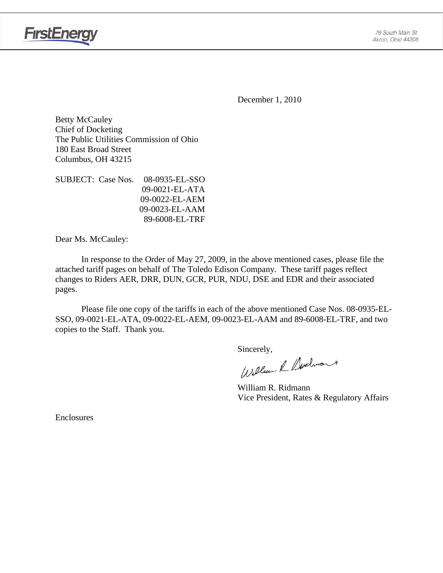

**FirstEnergy** 

December 1, 2010

Betty McCauley Chief of Docketing The Public Utilities Commission of Ohio 180 East Broad Street Columbus, OH 43215

SUBJECT: Case Nos. 08-0935-EL-SSO 09-0021-EL-ATA 09-0022-EL-AEM 09-0023-EL-AAM 89-6008-EL-TRF

Dear Ms. McCauley:

 In response to the Order of May 27, 2009, in the above mentioned cases, please file the attached tariff pages on behalf of The Toledo Edison Company. These tariff pages reflect changes to Riders AER, DRR, DUN, GCR, PUR, NDU, DSE and EDR and their associated pages.

Please file one copy of the tariffs in each of the above mentioned Case Nos. 08-0935-EL-SSO, 09-0021-EL-ATA, 09-0022-EL-AEM, 09-0023-EL-AAM and 89-6008-EL-TRF, and two copies to the Staff. Thank you.

Sincerely,<br>William & Nechnant

 William R. Ridmann Vice President, Rates & Regulatory Affairs

Enclosures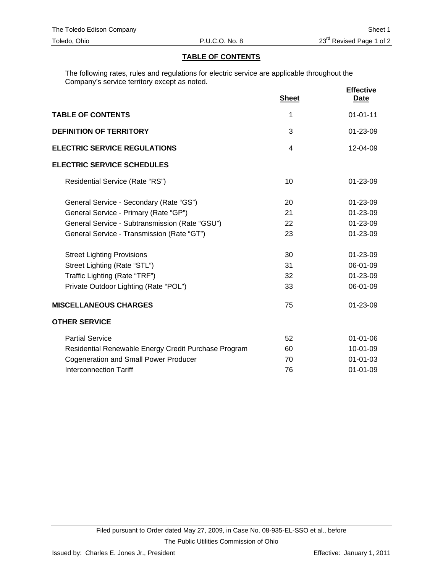#### **TABLE OF CONTENTS**

The following rates, rules and regulations for electric service are applicable throughout the Company's service territory except as noted.

|                                                      | <b>Sheet</b>   | <b>Effective</b><br><b>Date</b> |
|------------------------------------------------------|----------------|---------------------------------|
| <b>TABLE OF CONTENTS</b>                             | 1              | $01 - 01 - 11$                  |
| <b>DEFINITION OF TERRITORY</b>                       | 3              | $01 - 23 - 09$                  |
| <b>ELECTRIC SERVICE REGULATIONS</b>                  | $\overline{4}$ | 12-04-09                        |
| <b>ELECTRIC SERVICE SCHEDULES</b>                    |                |                                 |
| Residential Service (Rate "RS")                      | 10             | 01-23-09                        |
| General Service - Secondary (Rate "GS")              | 20             | 01-23-09                        |
| General Service - Primary (Rate "GP")                | 21             | 01-23-09                        |
| General Service - Subtransmission (Rate "GSU")       | 22             | 01-23-09                        |
| General Service - Transmission (Rate "GT")           | 23             | 01-23-09                        |
| <b>Street Lighting Provisions</b>                    | 30             | $01 - 23 - 09$                  |
| Street Lighting (Rate "STL")                         | 31             | 06-01-09                        |
| Traffic Lighting (Rate "TRF")                        | 32             | 01-23-09                        |
| Private Outdoor Lighting (Rate "POL")                | 33             | 06-01-09                        |
| <b>MISCELLANEOUS CHARGES</b>                         | 75             | 01-23-09                        |
| <b>OTHER SERVICE</b>                                 |                |                                 |
| <b>Partial Service</b>                               | 52             | $01 - 01 - 06$                  |
| Residential Renewable Energy Credit Purchase Program | 60             | 10-01-09                        |
| <b>Cogeneration and Small Power Producer</b>         | 70             | $01 - 01 - 03$                  |
| <b>Interconnection Tariff</b>                        | 76             | $01 - 01 - 09$                  |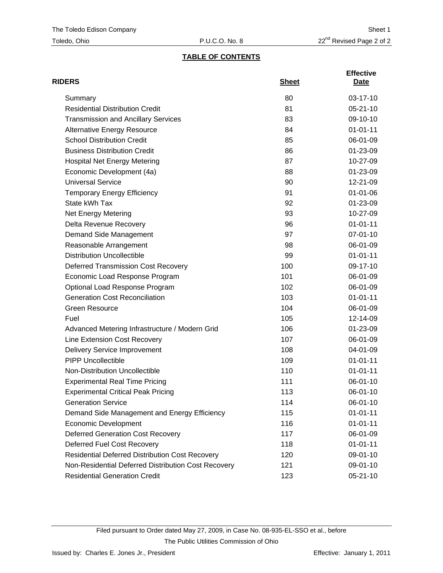# **TABLE OF CONTENTS**

| <b>RIDERS</b>                                          | <b>Sheet</b> | <b>Effective</b><br>Date |
|--------------------------------------------------------|--------------|--------------------------|
| Summary                                                | 80           | 03-17-10                 |
| <b>Residential Distribution Credit</b>                 | 81           | $05 - 21 - 10$           |
| <b>Transmission and Ancillary Services</b>             | 83           | 09-10-10                 |
| <b>Alternative Energy Resource</b>                     | 84           | $01 - 01 - 11$           |
| <b>School Distribution Credit</b>                      | 85           | 06-01-09                 |
| <b>Business Distribution Credit</b>                    | 86           | $01 - 23 - 09$           |
| <b>Hospital Net Energy Metering</b>                    | 87           | 10-27-09                 |
| Economic Development (4a)                              | 88           | 01-23-09                 |
| <b>Universal Service</b>                               | 90           | 12-21-09                 |
| <b>Temporary Energy Efficiency</b>                     | 91           | $01 - 01 - 06$           |
| State kWh Tax                                          | 92           | 01-23-09                 |
| Net Energy Metering                                    | 93           | 10-27-09                 |
| Delta Revenue Recovery                                 | 96           | $01 - 01 - 11$           |
| Demand Side Management                                 | 97           | 07-01-10                 |
| Reasonable Arrangement                                 | 98           | 06-01-09                 |
| <b>Distribution Uncollectible</b>                      | 99           | $01 - 01 - 11$           |
| <b>Deferred Transmission Cost Recovery</b>             | 100          | 09-17-10                 |
| Economic Load Response Program                         | 101          | 06-01-09                 |
| Optional Load Response Program                         | 102          | 06-01-09                 |
| <b>Generation Cost Reconciliation</b>                  | 103          | $01 - 01 - 11$           |
| <b>Green Resource</b>                                  | 104          | 06-01-09                 |
| Fuel                                                   | 105          | 12-14-09                 |
| Advanced Metering Infrastructure / Modern Grid         | 106          | 01-23-09                 |
| Line Extension Cost Recovery                           | 107          | 06-01-09                 |
| <b>Delivery Service Improvement</b>                    | 108          | 04-01-09                 |
| <b>PIPP Uncollectible</b>                              | 109          | $01 - 01 - 11$           |
| Non-Distribution Uncollectible                         | 110          | $01 - 01 - 11$           |
| <b>Experimental Real Time Pricing</b>                  | 111          | 06-01-10                 |
| <b>Experimental Critical Peak Pricing</b>              | 113          | 06-01-10                 |
| <b>Generation Service</b>                              | 114          | 06-01-10                 |
| Demand Side Management and Energy Efficiency           | 115          | $01 - 01 - 11$           |
| <b>Economic Development</b>                            | 116          | $01 - 01 - 11$           |
| <b>Deferred Generation Cost Recovery</b>               | 117          | 06-01-09                 |
| Deferred Fuel Cost Recovery                            | 118          | $01 - 01 - 11$           |
| <b>Residential Deferred Distribution Cost Recovery</b> | 120          | 09-01-10                 |
| Non-Residential Deferred Distribution Cost Recovery    | 121          | 09-01-10                 |
| <b>Residential Generation Credit</b>                   | 123          | 05-21-10                 |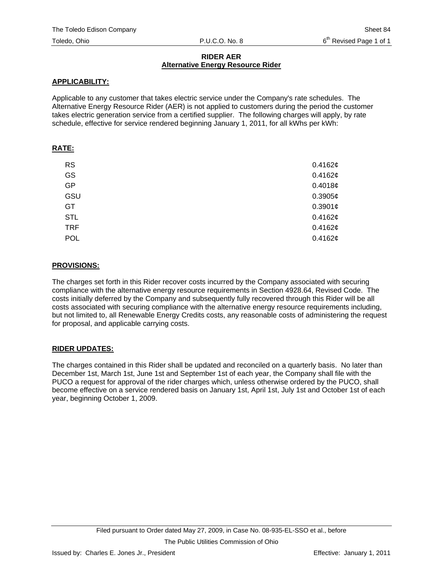#### **RIDER AER Alternative Energy Resource Rider**

# **APPLICABILITY:**

Applicable to any customer that takes electric service under the Company's rate schedules. The Alternative Energy Resource Rider (AER) is not applied to customers during the period the customer takes electric generation service from a certified supplier. The following charges will apply, by rate schedule, effective for service rendered beginning January 1, 2011, for all kWhs per kWh:

# **RATE:**

| <b>RS</b>  | 0.4162¢ |
|------------|---------|
| GS         | 0.4162c |
| <b>GP</b>  | 0.4018c |
| GSU        | 0.3905c |
| <b>GT</b>  | 0.3901¢ |
| <b>STL</b> | 0.4162¢ |
| <b>TRF</b> | 0.4162¢ |
| POL        | 0.4162c |

# **PROVISIONS:**

The charges set forth in this Rider recover costs incurred by the Company associated with securing compliance with the alternative energy resource requirements in Section 4928.64, Revised Code. The costs initially deferred by the Company and subsequently fully recovered through this Rider will be all costs associated with securing compliance with the alternative energy resource requirements including, but not limited to, all Renewable Energy Credits costs, any reasonable costs of administering the request for proposal, and applicable carrying costs.

# **RIDER UPDATES:**

The charges contained in this Rider shall be updated and reconciled on a quarterly basis. No later than December 1st, March 1st, June 1st and September 1st of each year, the Company shall file with the PUCO a request for approval of the rider charges which, unless otherwise ordered by the PUCO, shall become effective on a service rendered basis on January 1st, April 1st, July 1st and October 1st of each year, beginning October 1, 2009.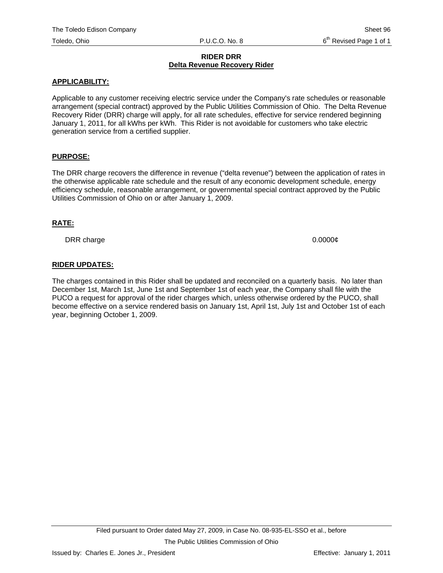#### **RIDER DRR Delta Revenue Recovery Rider**

#### **APPLICABILITY:**

Applicable to any customer receiving electric service under the Company's rate schedules or reasonable arrangement (special contract) approved by the Public Utilities Commission of Ohio. The Delta Revenue Recovery Rider (DRR) charge will apply, for all rate schedules, effective for service rendered beginning January 1, 2011, for all kWhs per kWh. This Rider is not avoidable for customers who take electric generation service from a certified supplier.

# **PURPOSE:**

The DRR charge recovers the difference in revenue ("delta revenue") between the application of rates in the otherwise applicable rate schedule and the result of any economic development schedule, energy efficiency schedule, reasonable arrangement, or governmental special contract approved by the Public Utilities Commission of Ohio on or after January 1, 2009.

# **RATE:**

DRR charge 0.0000¢

# **RIDER UPDATES:**

The charges contained in this Rider shall be updated and reconciled on a quarterly basis. No later than December 1st, March 1st, June 1st and September 1st of each year, the Company shall file with the PUCO a request for approval of the rider charges which, unless otherwise ordered by the PUCO, shall become effective on a service rendered basis on January 1st, April 1st, July 1st and October 1st of each year, beginning October 1, 2009.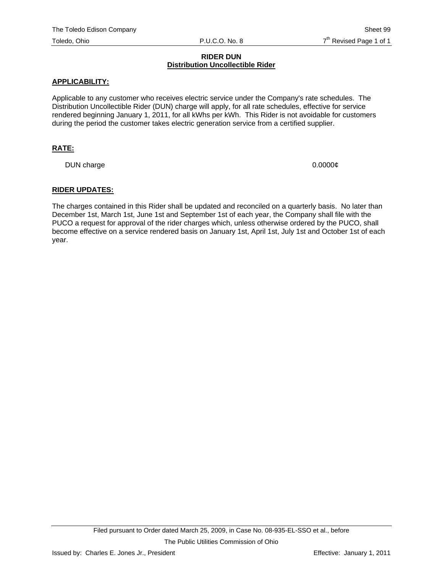#### **RIDER DUN Distribution Uncollectible Rider**

#### **APPLICABILITY:**

Applicable to any customer who receives electric service under the Company's rate schedules. The Distribution Uncollectible Rider (DUN) charge will apply, for all rate schedules, effective for service rendered beginning January 1, 2011, for all kWhs per kWh. This Rider is not avoidable for customers during the period the customer takes electric generation service from a certified supplier.

#### **RATE:**

DUN charge 0.0000¢

#### **RIDER UPDATES:**

The charges contained in this Rider shall be updated and reconciled on a quarterly basis. No later than December 1st, March 1st, June 1st and September 1st of each year, the Company shall file with the PUCO a request for approval of the rider charges which, unless otherwise ordered by the PUCO, shall become effective on a service rendered basis on January 1st, April 1st, July 1st and October 1st of each year.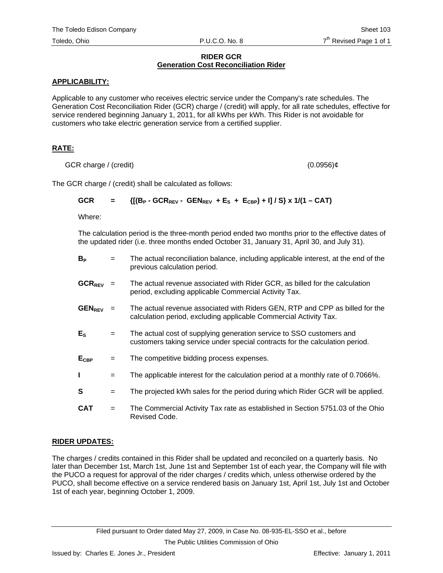#### **RIDER GCR Generation Cost Reconciliation Rider**

### **APPLICABILITY:**

Applicable to any customer who receives electric service under the Company's rate schedules. The Generation Cost Reconciliation Rider (GCR) charge / (credit) will apply, for all rate schedules, effective for service rendered beginning January 1, 2011, for all kWhs per kWh. This Rider is not avoidable for customers who take electric generation service from a certified supplier.

# **RATE:**

GCR charge / (credit)  $(0.0956)\varphi$ 

The GCR charge / (credit) shall be calculated as follows:

GCR = 
$$
\{[(B_P - GCR_{REV} - GEN_{REV} + E_S + E_{CBP}) + 1]/S\} \times 1/(1 - CAT)
$$

Where:

The calculation period is the three-month period ended two months prior to the effective dates of the updated rider (i.e. three months ended October 31, January 31, April 30, and July 31).

| $B_{P}$                       | $=$ | The actual reconciliation balance, including applicable interest, at the end of the<br>previous calculation period.                                  |
|-------------------------------|-----|------------------------------------------------------------------------------------------------------------------------------------------------------|
| $GCR_{RFV}$ =                 |     | The actual revenue associated with Rider GCR, as billed for the calculation<br>period, excluding applicable Commercial Activity Tax.                 |
| $\mathsf{GEN}_{\mathsf{RFV}}$ | $=$ | The actual revenue associated with Riders GEN, RTP and CPP as billed for the<br>calculation period, excluding applicable Commercial Activity Tax.    |
| $E_{\rm S}$                   | $=$ | The actual cost of supplying generation service to SSO customers and<br>customers taking service under special contracts for the calculation period. |
| $E_{CBP}$                     | $=$ | The competitive bidding process expenses.                                                                                                            |
| $\mathbf{I}$                  | $=$ | The applicable interest for the calculation period at a monthly rate of 0.7066%.                                                                     |
| S                             | $=$ | The projected kWh sales for the period during which Rider GCR will be applied.                                                                       |
| <b>CAT</b>                    | $=$ | The Commercial Activity Tax rate as established in Section 5751.03 of the Ohio<br>Revised Code.                                                      |

# **RIDER UPDATES:**

The charges / credits contained in this Rider shall be updated and reconciled on a quarterly basis. No later than December 1st, March 1st, June 1st and September 1st of each year, the Company will file with the PUCO a request for approval of the rider charges / credits which, unless otherwise ordered by the PUCO, shall become effective on a service rendered basis on January 1st, April 1st, July 1st and October 1st of each year, beginning October 1, 2009.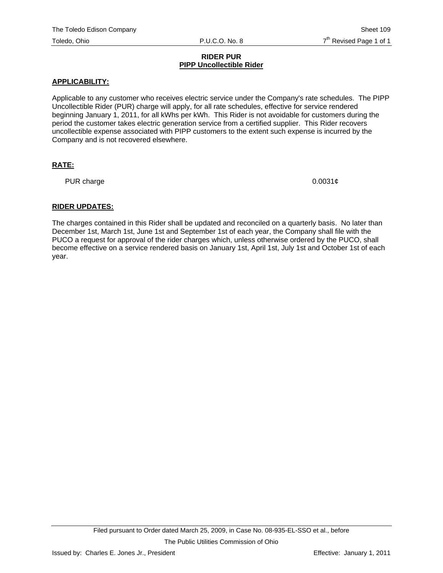#### **RIDER PUR PIPP Uncollectible Rider**

# **APPLICABILITY:**

Applicable to any customer who receives electric service under the Company's rate schedules. The PIPP Uncollectible Rider (PUR) charge will apply, for all rate schedules, effective for service rendered beginning January 1, 2011, for all kWhs per kWh. This Rider is not avoidable for customers during the period the customer takes electric generation service from a certified supplier. This Rider recovers uncollectible expense associated with PIPP customers to the extent such expense is incurred by the Company and is not recovered elsewhere.

# **RATE:**

PUR charge  $0.0031¢$ 

# **RIDER UPDATES:**

The charges contained in this Rider shall be updated and reconciled on a quarterly basis. No later than December 1st, March 1st, June 1st and September 1st of each year, the Company shall file with the PUCO a request for approval of the rider charges which, unless otherwise ordered by the PUCO, shall become effective on a service rendered basis on January 1st, April 1st, July 1st and October 1st of each year.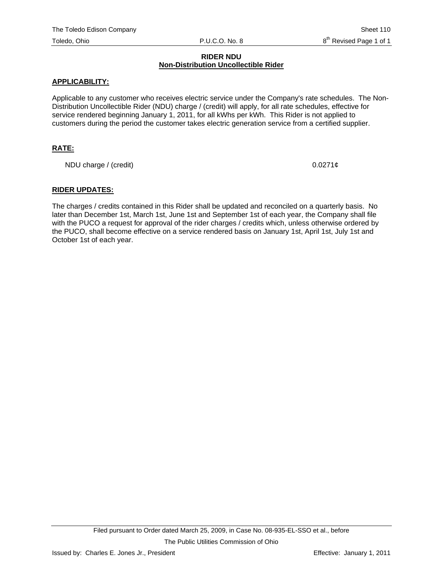#### **RIDER NDU Non-Distribution Uncollectible Rider**

#### **APPLICABILITY:**

Applicable to any customer who receives electric service under the Company's rate schedules. The Non-Distribution Uncollectible Rider (NDU) charge / (credit) will apply, for all rate schedules, effective for service rendered beginning January 1, 2011, for all kWhs per kWh. This Rider is not applied to customers during the period the customer takes electric generation service from a certified supplier.

#### **RATE:**

NDU charge / (credit)  $0.0271¢$ 

#### **RIDER UPDATES:**

The charges / credits contained in this Rider shall be updated and reconciled on a quarterly basis. No later than December 1st, March 1st, June 1st and September 1st of each year, the Company shall file with the PUCO a request for approval of the rider charges / credits which, unless otherwise ordered by the PUCO, shall become effective on a service rendered basis on January 1st, April 1st, July 1st and October 1st of each year.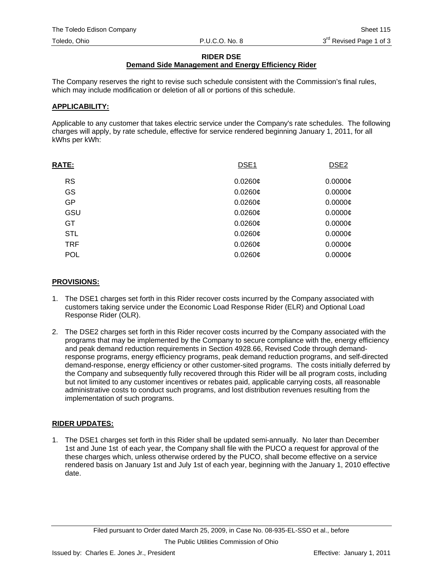#### **RIDER DSE**

# **Demand Side Management and Energy Efficiency Rider**

The Company reserves the right to revise such schedule consistent with the Commission's final rules, which may include modification or deletion of all or portions of this schedule.

#### **APPLICABILITY:**

Applicable to any customer that takes electric service under the Company's rate schedules. The following charges will apply, by rate schedule, effective for service rendered beginning January 1, 2011, for all kWhs per kWh:

| <b>RATE:</b> | DSE <sub>1</sub> | DSE <sub>2</sub> |
|--------------|------------------|------------------|
| <b>RS</b>    | $0.0260$ ¢       | 0.0000C          |
| GS           | $0.0260$ ¢       | $0.0000$ ¢       |
| <b>GP</b>    | $0.0260$ ¢       | $0.0000$ ¢       |
| GSU          | $0.0260$ ¢       | $0.0000$ ¢       |
| GT           | $0.0260$ ¢       | 0.0000C          |
| <b>STL</b>   | $0.0260$ ¢       | $0.0000$ ¢       |
| <b>TRF</b>   | $0.0260$ ¢       | $0.0000$ ¢       |
| <b>POL</b>   | $0.0260$ ¢       | $0.0000$ ¢       |

#### **PROVISIONS:**

- 1. The DSE1 charges set forth in this Rider recover costs incurred by the Company associated with customers taking service under the Economic Load Response Rider (ELR) and Optional Load Response Rider (OLR).
- 2. The DSE2 charges set forth in this Rider recover costs incurred by the Company associated with the programs that may be implemented by the Company to secure compliance with the, energy efficiency and peak demand reduction requirements in Section 4928.66, Revised Code through demandresponse programs, energy efficiency programs, peak demand reduction programs, and self-directed demand-response, energy efficiency or other customer-sited programs. The costs initially deferred by the Company and subsequently fully recovered through this Rider will be all program costs, including but not limited to any customer incentives or rebates paid, applicable carrying costs, all reasonable administrative costs to conduct such programs, and lost distribution revenues resulting from the implementation of such programs.

#### **RIDER UPDATES:**

1. The DSE1 charges set forth in this Rider shall be updated semi-annually. No later than December 1st and June 1st of each year, the Company shall file with the PUCO a request for approval of the these charges which, unless otherwise ordered by the PUCO, shall become effective on a service rendered basis on January 1st and July 1st of each year, beginning with the January 1, 2010 effective date.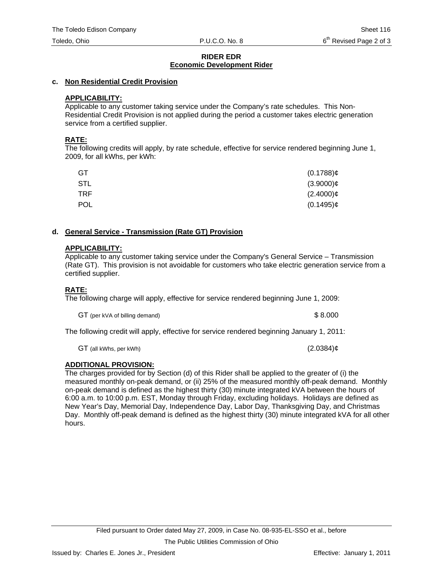#### **RIDER EDR Economic Development Rider**

# **c. Non Residential Credit Provision**

# **APPLICABILITY:**

Applicable to any customer taking service under the Company's rate schedules. This Non-Residential Credit Provision is not applied during the period a customer takes electric generation service from a certified supplier.

# **RATE:**

The following credits will apply, by rate schedule, effective for service rendered beginning June 1, 2009, for all kWhs, per kWh:

| GT         | $(0.1788)$ ¢ |
|------------|--------------|
| STL        | $(3.9000)$ ¢ |
| <b>TRF</b> | $(2.4000)$ ¢ |
| <b>POL</b> | $(0.1495)$ ¢ |

# **d. General Service - Transmission (Rate GT) Provision**

# **APPLICABILITY:**

Applicable to any customer taking service under the Company's General Service – Transmission (Rate GT). This provision is not avoidable for customers who take electric generation service from a certified supplier.

# **RATE:**

The following charge will apply, effective for service rendered beginning June 1, 2009:

GT (per kVA of billing demand)  $$8.000$ 

The following credit will apply, effective for service rendered beginning January 1, 2011:

GT (all kWhs, per kWh)  $(2.0384)\mathcal{C}$ 

# **ADDITIONAL PROVISION:**

The charges provided for by Section (d) of this Rider shall be applied to the greater of (i) the measured monthly on-peak demand, or (ii) 25% of the measured monthly off-peak demand. Monthly on-peak demand is defined as the highest thirty (30) minute integrated kVA between the hours of 6:00 a.m. to 10:00 p.m. EST, Monday through Friday, excluding holidays. Holidays are defined as New Year's Day, Memorial Day, Independence Day, Labor Day, Thanksgiving Day, and Christmas Day. Monthly off-peak demand is defined as the highest thirty (30) minute integrated kVA for all other hours.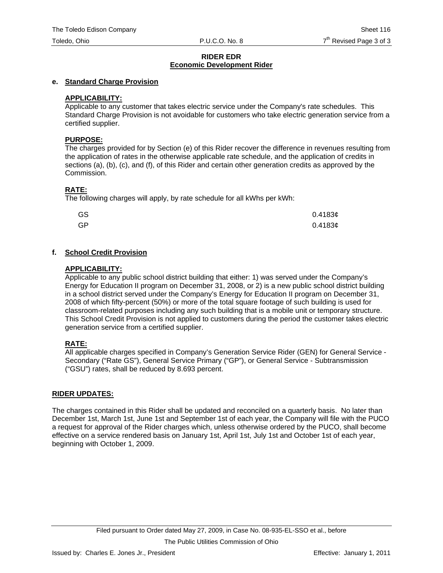#### **RIDER EDR Economic Development Rider**

#### **e. Standard Charge Provision**

#### **APPLICABILITY:**

Applicable to any customer that takes electric service under the Company's rate schedules. This Standard Charge Provision is not avoidable for customers who take electric generation service from a certified supplier.

#### **PURPOSE:**

The charges provided for by Section (e) of this Rider recover the difference in revenues resulting from the application of rates in the otherwise applicable rate schedule, and the application of credits in sections (a), (b), (c), and (f), of this Rider and certain other generation credits as approved by the Commission.

#### **RATE:**

The following charges will apply, by rate schedule for all kWhs per kWh:

| GS | 0.4183c |
|----|---------|
| GP | 0.4183¢ |

#### **f. School Credit Provision**

#### **APPLICABILITY:**

Applicable to any public school district building that either: 1) was served under the Company's Energy for Education II program on December 31, 2008, or 2) is a new public school district building in a school district served under the Company's Energy for Education II program on December 31, 2008 of which fifty-percent (50%) or more of the total square footage of such building is used for classroom-related purposes including any such building that is a mobile unit or temporary structure. This School Credit Provision is not applied to customers during the period the customer takes electric generation service from a certified supplier.

#### **RATE:**

All applicable charges specified in Company's Generation Service Rider (GEN) for General Service - Secondary ("Rate GS"), General Service Primary ("GP"), or General Service - Subtransmission ("GSU") rates, shall be reduced by 8.693 percent.

#### **RIDER UPDATES:**

The charges contained in this Rider shall be updated and reconciled on a quarterly basis. No later than December 1st, March 1st, June 1st and September 1st of each year, the Company will file with the PUCO a request for approval of the Rider charges which, unless otherwise ordered by the PUCO, shall become effective on a service rendered basis on January 1st, April 1st, July 1st and October 1st of each year, beginning with October 1, 2009.